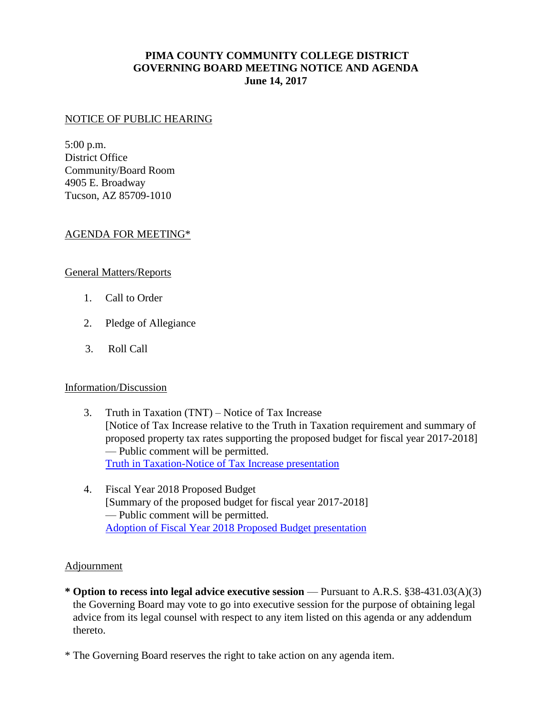# **PIMA COUNTY COMMUNITY COLLEGE DISTRICT GOVERNING BOARD MEETING NOTICE AND AGENDA June 14, 2017**

#### NOTICE OF PUBLIC HEARING

5:00 p.m. District Office Community/Board Room 4905 E. Broadway Tucson, AZ 85709-1010

## AGENDA FOR MEETING\*

## General Matters/Reports

- 1. Call to Order
- 2. Pledge of Allegiance
- 3. Roll Call

## Information/Discussion

- 3. Truth in Taxation (TNT) Notice of Tax Increase [Notice of Tax Increase relative to the Truth in Taxation requirement and summary of proposed property tax rates supporting the proposed budget for fiscal year 2017-2018] — Public comment will be permitted. [Truth in Taxation-Notice of Tax Increase presentation](https://www.pima.edu/meeting-notices-support/2017-docs/201706-14-fy2018-truth-in-taxation-budget-adoption.pdf)
- 4. Fiscal Year 2018 Proposed Budget [Summary of the proposed budget for fiscal year 2017-2018] — Public comment will be permitted. [Adoption of Fiscal Year 2018 Proposed Budget presentation](https://www.pima.edu/meeting-notices-support/2017-docs/201706-14-adoption-fy2018-proposed-budget.pdf)

#### Adjournment

- **\* Option to recess into legal advice executive session**  Pursuant to A.R.S. §38-431.03(A)(3) the Governing Board may vote to go into executive session for the purpose of obtaining legal advice from its legal counsel with respect to any item listed on this agenda or any addendum thereto.
- \* The Governing Board reserves the right to take action on any agenda item.